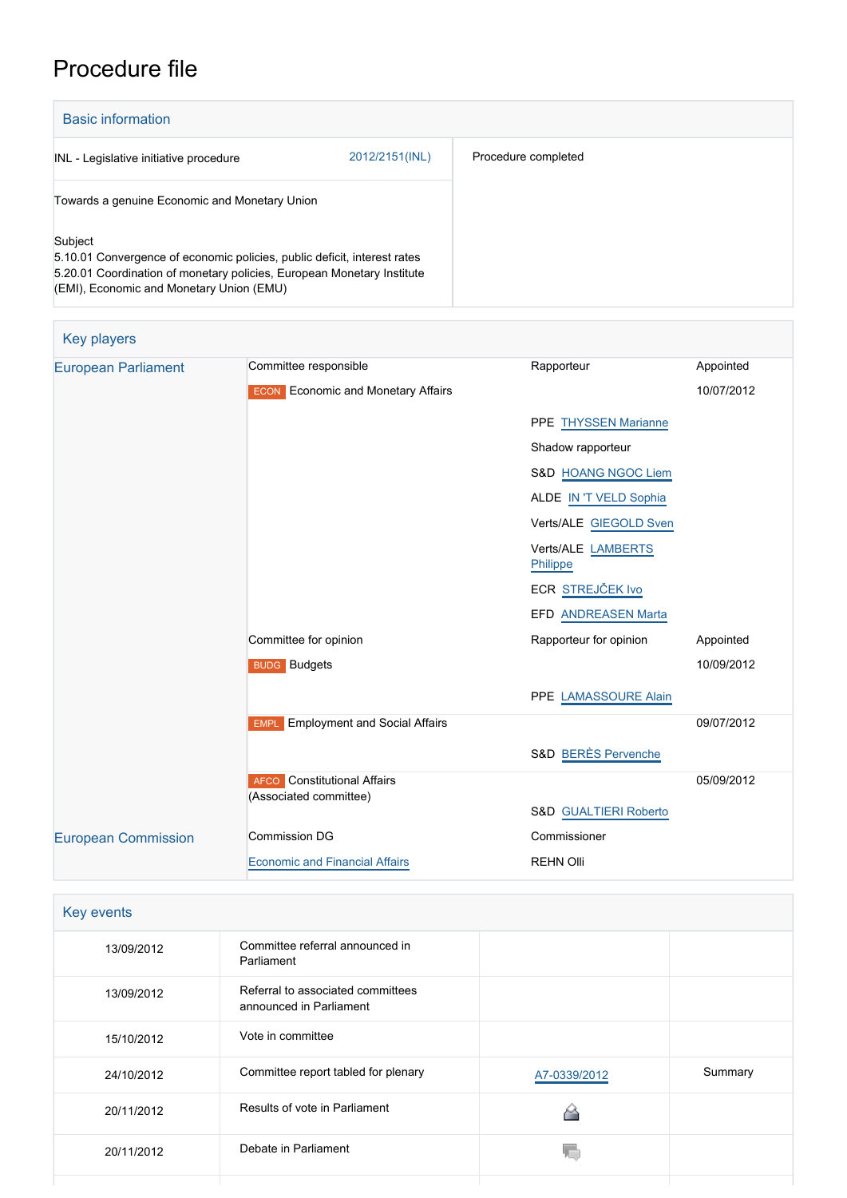# Procedure file

| <b>Basic information</b>                                                                                                                                                                                  |                |                     |  |
|-----------------------------------------------------------------------------------------------------------------------------------------------------------------------------------------------------------|----------------|---------------------|--|
| INL - Legislative initiative procedure                                                                                                                                                                    | 2012/2151(INL) | Procedure completed |  |
| Towards a genuine Economic and Monetary Union                                                                                                                                                             |                |                     |  |
| Subject<br>5.10.01 Convergence of economic policies, public deficit, interest rates<br>5.20.01 Coordination of monetary policies, European Monetary Institute<br>(EMI), Economic and Monetary Union (EMU) |                |                     |  |

| <b>Key players</b>         |                                           |                                  |            |
|----------------------------|-------------------------------------------|----------------------------------|------------|
| <b>European Parliament</b> | Committee responsible                     | Rapporteur                       | Appointed  |
|                            | <b>ECON</b> Economic and Monetary Affairs |                                  | 10/07/2012 |
|                            |                                           | PPE THYSSEN Marianne             |            |
|                            |                                           | Shadow rapporteur                |            |
|                            |                                           | S&D HOANG NGOC Liem              |            |
|                            |                                           | ALDE IN 'T VELD Sophia           |            |
|                            |                                           | Verts/ALE GIEGOLD Sven           |            |
|                            |                                           | Verts/ALE LAMBERTS<br>Philippe   |            |
|                            |                                           | ECR STREJČEK Ivo                 |            |
|                            |                                           | EFD ANDREASEN Marta              |            |
|                            | Committee for opinion                     | Rapporteur for opinion           | Appointed  |
|                            | <b>BUDG</b> Budgets                       |                                  | 10/09/2012 |
|                            |                                           | PPE LAMASSOURE Alain             |            |
|                            | <b>EMPL</b> Employment and Social Affairs |                                  | 09/07/2012 |
|                            |                                           | <b>S&amp;D BERÈS Pervenche</b>   |            |
|                            | <b>AFCO</b> Constitutional Affairs        |                                  | 05/09/2012 |
|                            | (Associated committee)                    | <b>S&amp;D GUALTIERI Roberto</b> |            |
| <b>European Commission</b> | <b>Commission DG</b>                      | Commissioner                     |            |
|                            | <b>Economic and Financial Affairs</b>     | <b>REHN Olli</b>                 |            |

| Key events |                                                              |              |         |
|------------|--------------------------------------------------------------|--------------|---------|
| 13/09/2012 | Committee referral announced in<br>Parliament                |              |         |
| 13/09/2012 | Referral to associated committees<br>announced in Parliament |              |         |
| 15/10/2012 | Vote in committee                                            |              |         |
| 24/10/2012 | Committee report tabled for plenary                          | A7-0339/2012 | Summary |
| 20/11/2012 | Results of vote in Parliament                                |              |         |
| 20/11/2012 | Debate in Parliament                                         |              |         |
|            |                                                              |              |         |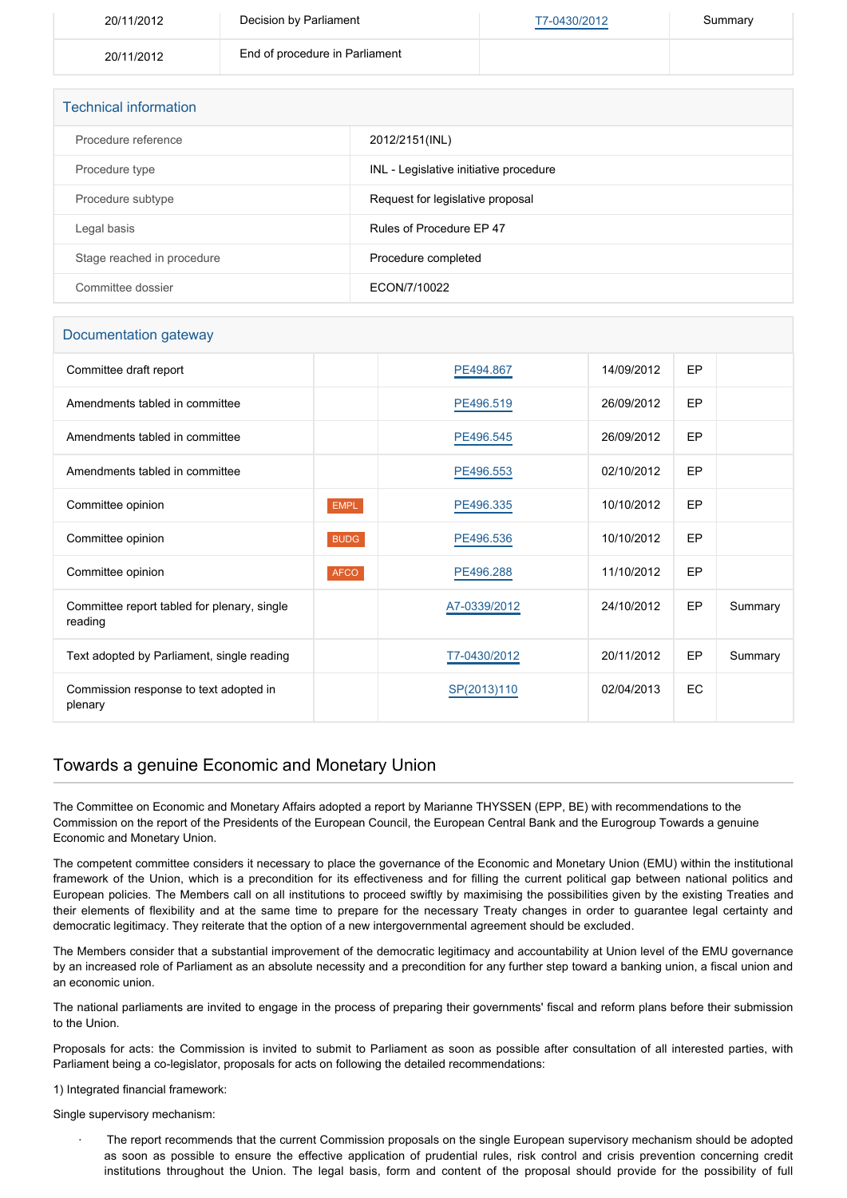| 20/11/2012 | Decision by Parliament         | T7-0430/2012 | Summary |
|------------|--------------------------------|--------------|---------|
| 20/11/2012 | End of procedure in Parliament |              |         |

| <b>Technical information</b> |                                        |  |  |
|------------------------------|----------------------------------------|--|--|
| Procedure reference          | 2012/2151(INL)                         |  |  |
| Procedure type               | INL - Legislative initiative procedure |  |  |
| Procedure subtype            | Request for legislative proposal       |  |  |
| Legal basis                  | Rules of Procedure EP 47               |  |  |
| Stage reached in procedure   | Procedure completed                    |  |  |
| Committee dossier            | ECON/7/10022                           |  |  |

#### Documentation gateway

| Committee draft report                                 |             | PE494.867    | 14/09/2012 | EP |         |
|--------------------------------------------------------|-------------|--------------|------------|----|---------|
| Amendments tabled in committee                         |             | PE496.519    | 26/09/2012 | EP |         |
| Amendments tabled in committee                         |             | PE496.545    | 26/09/2012 | EP |         |
| Amendments tabled in committee                         |             | PE496.553    | 02/10/2012 | EP |         |
| Committee opinion                                      | <b>EMPL</b> | PE496.335    | 10/10/2012 | EP |         |
| Committee opinion                                      | <b>BUDG</b> | PE496.536    | 10/10/2012 | EP |         |
| Committee opinion                                      | <b>AFCO</b> | PE496.288    | 11/10/2012 | EP |         |
| Committee report tabled for plenary, single<br>reading |             | A7-0339/2012 | 24/10/2012 | EP | Summary |
| Text adopted by Parliament, single reading             |             | T7-0430/2012 | 20/11/2012 | EP | Summary |
| Commission response to text adopted in<br>plenary      |             | SP(2013)110  | 02/04/2013 | EC |         |

### Towards a genuine Economic and Monetary Union

The Committee on Economic and Monetary Affairs adopted a report by Marianne THYSSEN (EPP, BE) with recommendations to the Commission on the report of the Presidents of the European Council, the European Central Bank and the Eurogroup Towards a genuine Economic and Monetary Union.

The competent committee considers it necessary to place the governance of the Economic and Monetary Union (EMU) within the institutional framework of the Union, which is a precondition for its effectiveness and for filling the current political gap between national politics and European policies. The Members call on all institutions to proceed swiftly by maximising the possibilities given by the existing Treaties and their elements of flexibility and at the same time to prepare for the necessary Treaty changes in order to guarantee legal certainty and democratic legitimacy. They reiterate that the option of a new intergovernmental agreement should be excluded.

The Members consider that a substantial improvement of the democratic legitimacy and accountability at Union level of the EMU governance by an increased role of Parliament as an absolute necessity and a precondition for any further step toward a banking union, a fiscal union and an economic union.

The national parliaments are invited to engage in the process of preparing their governments' fiscal and reform plans before their submission to the Union.

Proposals for acts: the Commission is invited to submit to Parliament as soon as possible after consultation of all interested parties, with Parliament being a co-legislator, proposals for acts on following the detailed recommendations:

#### 1) Integrated financial framework:

Single supervisory mechanism:

The report recommends that the current Commission proposals on the single European supervisory mechanism should be adopted as soon as possible to ensure the effective application of prudential rules, risk control and crisis prevention concerning credit institutions throughout the Union. The legal basis, form and content of the proposal should provide for the possibility of full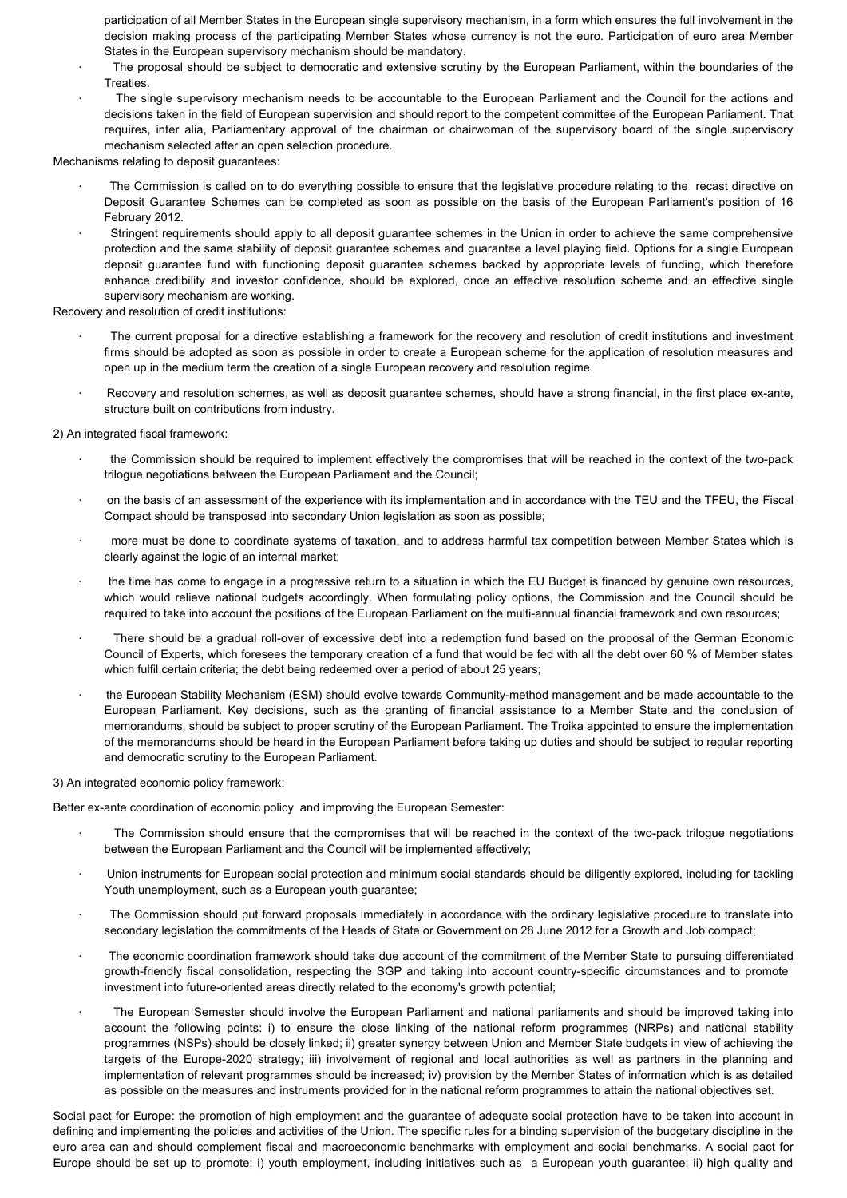participation of all Member States in the European single supervisory mechanism, in a form which ensures the full involvement in the decision making process of the participating Member States whose currency is not the euro. Participation of euro area Member States in the European supervisory mechanism should be mandatory.

- The proposal should be subject to democratic and extensive scrutiny by the European Parliament, within the boundaries of the Treaties.
- The single supervisory mechanism needs to be accountable to the European Parliament and the Council for the actions and decisions taken in the field of European supervision and should report to the competent committee of the European Parliament. That requires, inter alia, Parliamentary approval of the chairman or chairwoman of the supervisory board of the single supervisory mechanism selected after an open selection procedure.

Mechanisms relating to deposit guarantees:

- The Commission is called on to do everything possible to ensure that the legislative procedure relating to the recast directive on Deposit Guarantee Schemes can be completed as soon as possible on the basis of the European Parliament's position of 16 February 2012.
- Stringent requirements should apply to all deposit guarantee schemes in the Union in order to achieve the same comprehensive protection and the same stability of deposit guarantee schemes and guarantee a level playing field. Options for a single European deposit guarantee fund with functioning deposit guarantee schemes backed by appropriate levels of funding, which therefore enhance credibility and investor confidence, should be explored, once an effective resolution scheme and an effective single supervisory mechanism are working.

Recovery and resolution of credit institutions:

- The current proposal for a directive establishing a framework for the recovery and resolution of credit institutions and investment firms should be adopted as soon as possible in order to create a European scheme for the application of resolution measures and open up in the medium term the creation of a single European recovery and resolution regime.
- Recovery and resolution schemes, as well as deposit guarantee schemes, should have a strong financial, in the first place ex-ante, structure built on contributions from industry.

2) An integrated fiscal framework:

- the Commission should be required to implement effectively the compromises that will be reached in the context of the two-pack trilogue negotiations between the European Parliament and the Council;
- · on the basis of an assessment of the experience with its implementation and in accordance with the TEU and the TFEU, the Fiscal Compact should be transposed into secondary Union legislation as soon as possible;
- more must be done to coordinate systems of taxation, and to address harmful tax competition between Member States which is clearly against the logic of an internal market;
- the time has come to engage in a progressive return to a situation in which the EU Budget is financed by genuine own resources, which would relieve national budgets accordingly. When formulating policy options, the Commission and the Council should be required to take into account the positions of the European Parliament on the multi-annual financial framework and own resources;
- There should be a gradual roll-over of excessive debt into a redemption fund based on the proposal of the German Economic Council of Experts, which foresees the temporary creation of a fund that would be fed with all the debt over 60 % of Member states which fulfil certain criteria; the debt being redeemed over a period of about 25 years;
- · the European Stability Mechanism (ESM) should evolve towards Community-method management and be made accountable to the European Parliament. Key decisions, such as the granting of financial assistance to a Member State and the conclusion of memorandums, should be subject to proper scrutiny of the European Parliament. The Troika appointed to ensure the implementation of the memorandums should be heard in the European Parliament before taking up duties and should be subject to regular reporting and democratic scrutiny to the European Parliament.

3) An integrated economic policy framework:

Better ex-ante coordination of economic policy and improving the European Semester:

- The Commission should ensure that the compromises that will be reached in the context of the two-pack trilogue negotiations between the European Parliament and the Council will be implemented effectively;
- · Union instruments for European social protection and minimum social standards should be diligently explored, including for tackling Youth unemployment, such as a European youth guarantee;
- · The Commission should put forward proposals immediately in accordance with the ordinary legislative procedure to translate into secondary legislation the commitments of the Heads of State or Government on 28 June 2012 for a Growth and Job compact:
- The economic coordination framework should take due account of the commitment of the Member State to pursuing differentiated growth-friendly fiscal consolidation, respecting the SGP and taking into account country-specific circumstances and to promote investment into future-oriented areas directly related to the economy's growth potential;
- The European Semester should involve the European Parliament and national parliaments and should be improved taking into account the following points: i) to ensure the close linking of the national reform programmes (NRPs) and national stability programmes (NSPs) should be closely linked; ii) greater synergy between Union and Member State budgets in view of achieving the targets of the Europe-2020 strategy; iii) involvement of regional and local authorities as well as partners in the planning and implementation of relevant programmes should be increased; iv) provision by the Member States of information which is as detailed as possible on the measures and instruments provided for in the national reform programmes to attain the national objectives set.

Social pact for Europe: the promotion of high employment and the guarantee of adequate social protection have to be taken into account in defining and implementing the policies and activities of the Union. The specific rules for a binding supervision of the budgetary discipline in the euro area can and should complement fiscal and macroeconomic benchmarks with employment and social benchmarks. A social pact for Europe should be set up to promote: i) youth employment, including initiatives such as a European youth guarantee; ii) high quality and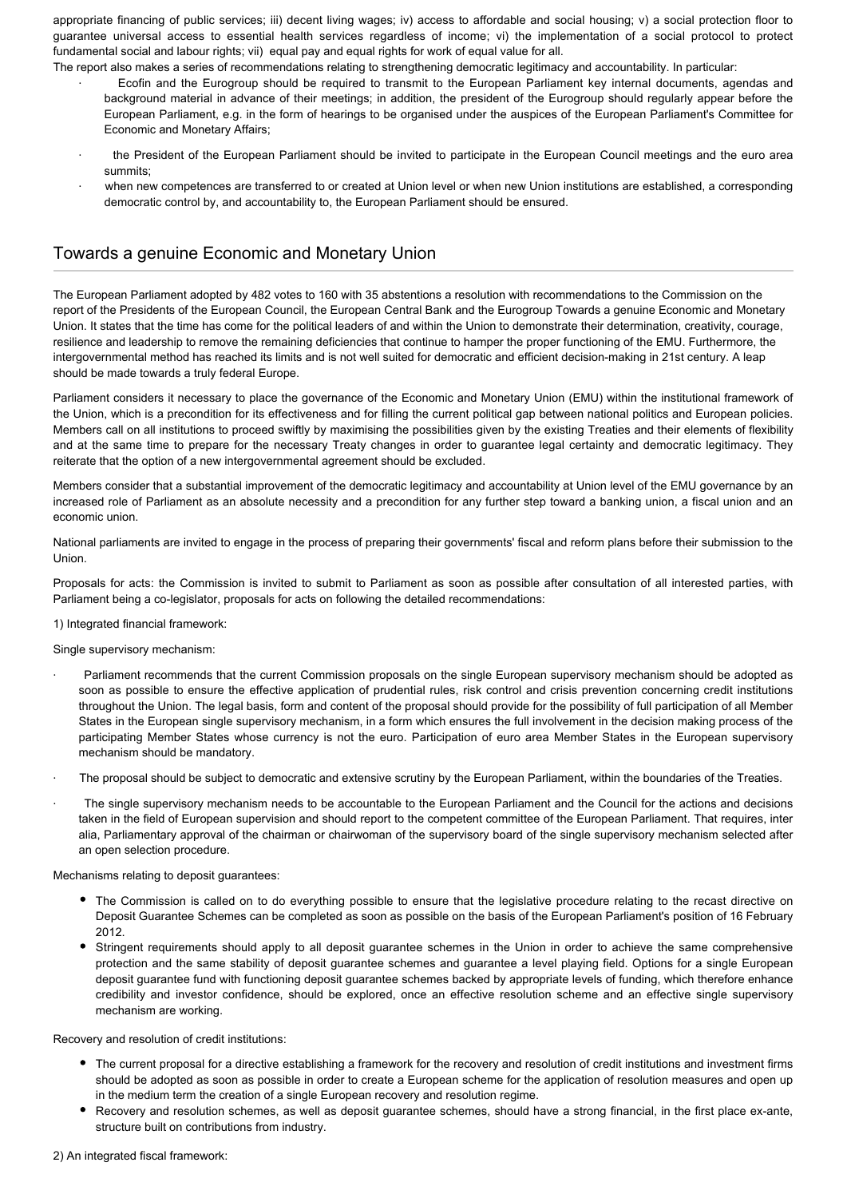appropriate financing of public services; iii) decent living wages; iv) access to affordable and social housing; v) a social protection floor to guarantee universal access to essential health services regardless of income; vi) the implementation of a social protocol to protect fundamental social and labour rights; vii) equal pay and equal rights for work of equal value for all.

- The report also makes a series of recommendations relating to strengthening democratic legitimacy and accountability. In particular: · Ecofin and the Eurogroup should be required to transmit to the European Parliament key internal documents, agendas and background material in advance of their meetings; in addition, the president of the Eurogroup should regularly appear before the European Parliament, e.g. in the form of hearings to be organised under the auspices of the European Parliament's Committee for Economic and Monetary Affairs;
	- the President of the European Parliament should be invited to participate in the European Council meetings and the euro area summits;
	- · when new competences are transferred to or created at Union level or when new Union institutions are established, a corresponding democratic control by, and accountability to, the European Parliament should be ensured.

## Towards a genuine Economic and Monetary Union

The European Parliament adopted by 482 votes to 160 with 35 abstentions a resolution with recommendations to the Commission on the report of the Presidents of the European Council, the European Central Bank and the Eurogroup Towards a genuine Economic and Monetary Union. It states that the time has come for the political leaders of and within the Union to demonstrate their determination, creativity, courage, resilience and leadership to remove the remaining deficiencies that continue to hamper the proper functioning of the EMU. Furthermore, the intergovernmental method has reached its limits and is not well suited for democratic and efficient decision-making in 21st century. A leap should be made towards a truly federal Europe.

Parliament considers it necessary to place the governance of the Economic and Monetary Union (EMU) within the institutional framework of the Union, which is a precondition for its effectiveness and for filling the current political gap between national politics and European policies. Members call on all institutions to proceed swiftly by maximising the possibilities given by the existing Treaties and their elements of flexibility and at the same time to prepare for the necessary Treaty changes in order to guarantee legal certainty and democratic legitimacy. They reiterate that the option of a new intergovernmental agreement should be excluded.

Members consider that a substantial improvement of the democratic legitimacy and accountability at Union level of the EMU governance by an increased role of Parliament as an absolute necessity and a precondition for any further step toward a banking union, a fiscal union and an economic union.

National parliaments are invited to engage in the process of preparing their governments' fiscal and reform plans before their submission to the Union.

Proposals for acts: the Commission is invited to submit to Parliament as soon as possible after consultation of all interested parties, with Parliament being a co-legislator, proposals for acts on following the detailed recommendations:

1) Integrated financial framework:

Single supervisory mechanism:

- Parliament recommends that the current Commission proposals on the single European supervisory mechanism should be adopted as soon as possible to ensure the effective application of prudential rules, risk control and crisis prevention concerning credit institutions throughout the Union. The legal basis, form and content of the proposal should provide for the possibility of full participation of all Member States in the European single supervisory mechanism, in a form which ensures the full involvement in the decision making process of the participating Member States whose currency is not the euro. Participation of euro area Member States in the European supervisory mechanism should be mandatory.
- The proposal should be subject to democratic and extensive scrutiny by the European Parliament, within the boundaries of the Treaties.
- The single supervisory mechanism needs to be accountable to the European Parliament and the Council for the actions and decisions taken in the field of European supervision and should report to the competent committee of the European Parliament. That requires, inter alia, Parliamentary approval of the chairman or chairwoman of the supervisory board of the single supervisory mechanism selected after an open selection procedure.

Mechanisms relating to deposit guarantees:

- The Commission is called on to do everything possible to ensure that the legislative procedure relating to the recast directive on Deposit Guarantee Schemes can be completed as soon as possible on the basis of the European Parliament's position of 16 February 2012.
- Stringent requirements should apply to all deposit guarantee schemes in the Union in order to achieve the same comprehensive protection and the same stability of deposit guarantee schemes and guarantee a level playing field. Options for a single European deposit guarantee fund with functioning deposit guarantee schemes backed by appropriate levels of funding, which therefore enhance credibility and investor confidence, should be explored, once an effective resolution scheme and an effective single supervisory mechanism are working.

Recovery and resolution of credit institutions:

- The current proposal for a directive establishing a framework for the recovery and resolution of credit institutions and investment firms should be adopted as soon as possible in order to create a European scheme for the application of resolution measures and open up in the medium term the creation of a single European recovery and resolution regime.
- Recovery and resolution schemes, as well as deposit guarantee schemes, should have a strong financial, in the first place ex-ante, structure built on contributions from industry.